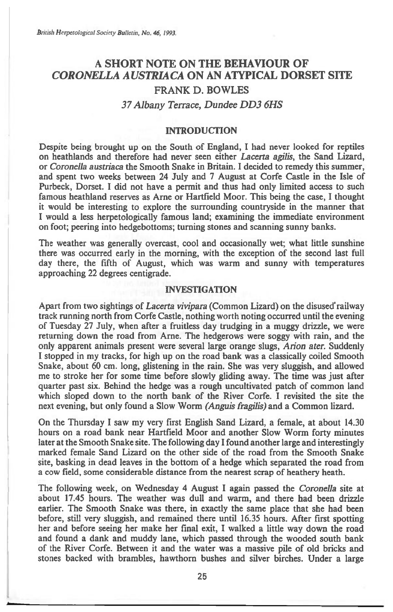# **A SHORT NOTE ON THE BEHAVIOUR OF**  *CORONELLA AUSTRIACA* **ON AN ATYPICAL DORSET SITE FRANK D. BOWLES**  *37 Albany Terrace, Dundee DD3 6HS*

#### **INTRODUCTION**

**Despite being brought up on the South of England, I had never looked for reptiles on heathlands and therefore had never seen either** *Lacerta agilis,* **the Sand Lizard, or** *Coronella austriaca* **the Smooth Snake in Britain. I decided to remedy this summer, and spent two weeks between 24 July and 7 August at Corfe Castle in the Isle of Purbeck, Dorset. I did not have a permit and thus had only limited access to such famous heathland reserves as Arne or Hartfield Moor. This being the case, I thought it would be interesting to explore the surrounding countryside in the manner that I would a less herpetologically famous land; examining the immediate environment on foot; peering into hedgebottoms; turning stones and scanning sunny banks.** 

**The weather was generally overcast, cool and occasionally wet; what little sunshine there was occurred early in the morning, with the exception of the second last full day there, the fifth of August, which was warm and sunny with temperatures approaching 22 degrees centigrade.** 

### **INVESTIGATION**

**Apart from two sightings of** *Lacerta vivipara* **(Common Lizard) on the disused' railway track running north from Corfe Castle, nothing** worth **noting occurred until the evening of Tuesday 27 July, when after a fruitless day trudging in a muggy drizzle, we were returning down the road from Arne. The hedgerows were soggy with rain, and the only apparent animals present were several large orange slugs,** *Arion ater.* **Suddenly I stopped in my tracks, for high up on the road bank was a classically coiled Smooth Snake, about 60 cm. long, glistening in the rain. She was very sluggish, and allowed me to stroke her for some time before slowly gliding away. The time was just after quarter past six. Behind the hedge was a rough uncultivated patch of common land which sloped down to the north bank of the River Corfe. I revisited the site the next evening, but only found a Slow Worm** *(Anguis fragilis)* **and a Common lizard.** 

**On the Thursday I saw my very first English Sand Lizard, a female, at about 14.30 hours on a road bank near Hartfield Moor and another Slow Worm forty minutes later at the Smooth Snake site. The following day I found another large and interestingly marked female Sand Lizard on the other side of the road from the Smooth Snake site, basking in dead leaves in the bottom of a hedge which separated the road from a cow field, some considerable distance from the nearest scrap of heathery heath.** 

**The following week, on Wednesday 4 August I again passed the** *Coronella site* **at about 17.45 hours. The weather was dull and warm, and there had been drizzle earlier. The Smooth Snake was there, in exactly the same place that she had been before, still very sluggish, and remained there until 16.35 hours. After first spotting her and before seeing her make her final exit, I walked a little way down the road and found a dank and muddy lane, which passed through the wooded south bank of the River Corfe. Between it and the water was a massive pile of old bricks and stones backed with brambles, hawthorn bushes and silver birches. Under a large**